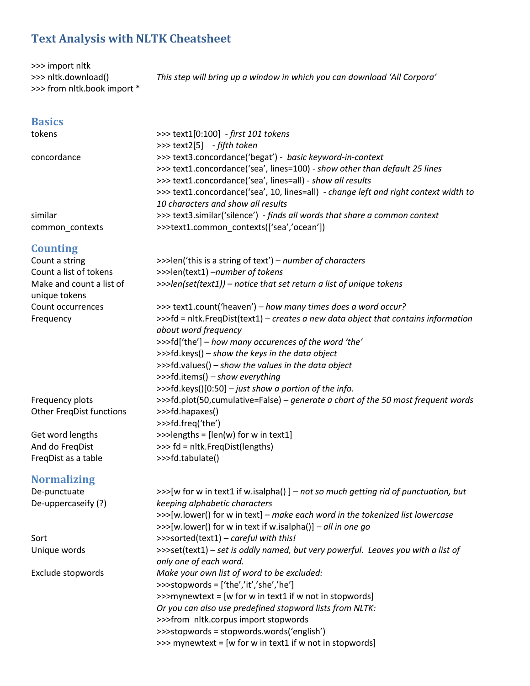# **Text Analysis with NLTK Cheatsheet**

>>> import nltk >>> nltk.download() >>> from nltk.book import \*

*This step will bring up a window in which you can download 'All Corpora'*

# **Basics**

| tokens          | >>> text1[0:100] - first 101 tokens                                                  |
|-----------------|--------------------------------------------------------------------------------------|
|                 | >>> text2[5] $-fifth token$                                                          |
| concordance     | >>> text3.concordance('begat') - basic keyword-in-context                            |
|                 | >>> text1.concordance('sea', lines=100) - show other than default 25 lines           |
|                 | >>> text1.concordance('sea', lines=all) - show all results                           |
|                 | >>> text1.concordance('sea', 10, lines=all) - change left and right context width to |
|                 | 10 characters and show all results                                                   |
| similar         | >>> text3.similar('silence') - finds all words that share a common context           |
| common contexts | >>>text1.common_contexts(['sea','ocean'])                                            |

#### **Counting**

| Counting                                  |                                                                                                            |  |  |  |  |
|-------------------------------------------|------------------------------------------------------------------------------------------------------------|--|--|--|--|
| Count a string                            | >>>len('this is a string of text') - number of characters                                                  |  |  |  |  |
| Count a list of tokens                    | >>>len(text1) -number of tokens                                                                            |  |  |  |  |
| Make and count a list of<br>unique tokens | >>>len(set(text1)) - notice that set return a list of unique tokens                                        |  |  |  |  |
| Count occurrences                         | >>> text1.count('heaven') - how many times does a word occur?                                              |  |  |  |  |
| Frequency                                 | >>>fd = nltk.FreqDist(text1) - creates a new data object that contains information<br>about word frequency |  |  |  |  |
|                                           | >>>fd['the'] - how many occurences of the word 'the'                                                       |  |  |  |  |
|                                           | >>>fd.keys() - show the keys in the data object                                                            |  |  |  |  |
|                                           | >>>fd.values() - show the values in the data object                                                        |  |  |  |  |
|                                           | >>>fd.items() - show everything                                                                            |  |  |  |  |
|                                           | >>>fd.keys()[0:50] - just show a portion of the info.                                                      |  |  |  |  |
| Frequency plots                           | >>>fd.plot(50,cumulative=False) – generate a chart of the 50 most frequent words                           |  |  |  |  |
| <b>Other FreqDist functions</b>           | >>>fd.hapaxes()                                                                                            |  |  |  |  |
|                                           | >>>fd.freq('the')                                                                                          |  |  |  |  |
| Get word lengths                          | >>>lengths = [len(w) for w in text1]                                                                       |  |  |  |  |
| And do FreqDist                           | >>> fd = nltk.FreqDist(lengths)                                                                            |  |  |  |  |
| >>>fd.tabulate()<br>FreqDist as a table   |                                                                                                            |  |  |  |  |
| <b>Normalizing</b>                        |                                                                                                            |  |  |  |  |
| De-punctuate                              | >>>[w for w in text1 if w.isalpha()] - not so much getting rid of punctuation, but                         |  |  |  |  |
| De-uppercaseify (?)                       | keeping alphabetic characters                                                                              |  |  |  |  |
|                                           | >>>[w.lower() for w in text] - make each word in the tokenized list lowercase                              |  |  |  |  |
|                                           | >>>[w.lower() for w in text if w.isalpha()] - all in one go                                                |  |  |  |  |
| Sort                                      | >>>sorted(text1) - careful with this!                                                                      |  |  |  |  |
| Unique words                              | >>>set(text1) - set is oddly named, but very powerful. Leaves you with a list of                           |  |  |  |  |
|                                           | only one of each word.                                                                                     |  |  |  |  |
| Exclude stopwords                         | Make your own list of word to be excluded:                                                                 |  |  |  |  |
|                                           | >>>stopwords = ['the','it','she','he']<br>>>>mynewtext = [w for w in text1 if w not in stopwords]          |  |  |  |  |
|                                           |                                                                                                            |  |  |  |  |
|                                           | Or you can also use predefined stopword lists from NLTK:                                                   |  |  |  |  |
|                                           | >>>from nltk.corpus import stopwords                                                                       |  |  |  |  |
|                                           | >>>stopwords = stopwords.words('english')                                                                  |  |  |  |  |
|                                           | >>> mynewtext = [w for w in text1 if w not in stopwords]                                                   |  |  |  |  |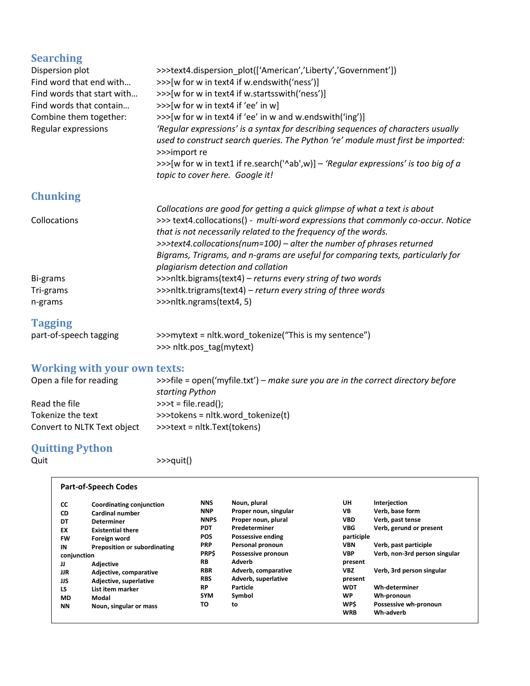## **Searching**

| Dispersion plot            | >>>text4.dispersion_plot(['American','Liberty','Government'])                                                                                      |  |  |  |  |  |
|----------------------------|----------------------------------------------------------------------------------------------------------------------------------------------------|--|--|--|--|--|
| Find word that end with    | >>>[w for w in text4 if w.endswith('ness')]                                                                                                        |  |  |  |  |  |
| Find words that start with | >>>[w for w in text4 if w.startsswith('ness')]                                                                                                     |  |  |  |  |  |
| Find words that contain    | >>>[w for w in text4 if 'ee' in w]                                                                                                                 |  |  |  |  |  |
| Combine them together:     | >>>[w for w in text4 if 'ee' in w and w.endswith('ing')]                                                                                           |  |  |  |  |  |
| Regular expressions        | 'Regular expressions' is a syntax for describing sequences of characters usually                                                                   |  |  |  |  |  |
|                            | used to construct search queries. The Python 're' module must first be imported:<br>>>>import re                                                   |  |  |  |  |  |
|                            | >>>[w for w in text1 if re.search('^ab',w)] – 'Regular expressions' is too big of a<br>topic to cover here. Google it!                             |  |  |  |  |  |
| <b>Chunking</b>            |                                                                                                                                                    |  |  |  |  |  |
|                            | Collocations are good for getting a quick glimpse of what a text is about                                                                          |  |  |  |  |  |
| Collocations               | >>> text4.collocations() - multi-word expressions that commonly co-occur. Notice<br>that is not necessarily related to the frequency of the words. |  |  |  |  |  |
|                            | >>>text4.collocations(num=100) - alter the number of phrases returned                                                                              |  |  |  |  |  |
|                            | Bigrams, Trigrams, and n-grams are useful for comparing texts, particularly for<br>plagiarism detection and collation                              |  |  |  |  |  |
| Bi-grams                   | >>>nltk.bigrams(text4) – returns every string of two words                                                                                         |  |  |  |  |  |
| Tri-grams                  | >>>nltk.trigrams(text4) - return every string of three words                                                                                       |  |  |  |  |  |
| n-grams                    | >>>nltk.ngrams(text4, 5)                                                                                                                           |  |  |  |  |  |
| <b>Tagging</b>             |                                                                                                                                                    |  |  |  |  |  |
| nort of conceletorsing     |                                                                                                                                                    |  |  |  |  |  |

part-of-speech tagging >>>mytext = nltk.word\_tokenize("This is my sentence") >>> nltk.pos\_tag(mytext)

#### **Working with your own texts:**

| Open a file for reading     | >>>file = open('myfile.txt') – make sure you are in the correct directory before |
|-----------------------------|----------------------------------------------------------------------------------|
|                             | starting Python                                                                  |
| Read the file               | $\rightarrow$ >>t = file.read();                                                 |
| Tokenize the text           | >>>tokens = nltk.word tokenize(t)                                                |
| Convert to NLTK Text object | >>>text = nltk.Text(tokens)                                                      |

# **Quitting Python**

**Part-of-Speech Codes**

Quit  $\longrightarrow$  >>>quit()

| <b>CC</b> | Coordinating conjunction            | <b>NNS</b>  | Noun, plural          | UH         | Interjection                  |
|-----------|-------------------------------------|-------------|-----------------------|------------|-------------------------------|
| CD        | Cardinal number                     | <b>NNP</b>  | Proper noun, singular | VB         | Verb. base form               |
| DT        | <b>Determiner</b>                   | <b>NNPS</b> | Proper noun, plural   | <b>VBD</b> | Verb, past tense              |
| EX        | <b>Existential there</b>            | <b>PDT</b>  | Predeterminer         | <b>VBG</b> | Verb, gerund or present       |
| <b>FW</b> | Foreign word                        | <b>POS</b>  | Possessive ending     | participle |                               |
| IN        | <b>Preposition or subordinating</b> | <b>PRP</b>  | Personal pronoun      | <b>VBN</b> | Verb, past participle         |
|           | conjunction                         |             | Possessive pronoun    | <b>VBP</b> | Verb, non-3rd person singular |
| IJ        | <b>Adjective</b>                    | <b>RB</b>   | Adverb                | present    |                               |
| JJR       | Adjective, comparative              | <b>RBR</b>  | Adverb, comparative   | VBZ        | Verb, 3rd person singular     |
| JJS       | Adjective, superlative              | <b>RBS</b>  | Adverb, superlative   | present    |                               |
| LS        | List item marker                    | <b>RP</b>   | Particle              | <b>WDT</b> | Wh-determiner                 |
| <b>MD</b> | Modal                               | <b>SYM</b>  | Symbol                | <b>WP</b>  | Wh-pronoun                    |
| ΝN        | Noun, singular or mass              | ΤО          | to                    | WP\$       | Possessive wh-pronoun         |
|           |                                     |             |                       | <b>WRB</b> | Wh-adverb                     |